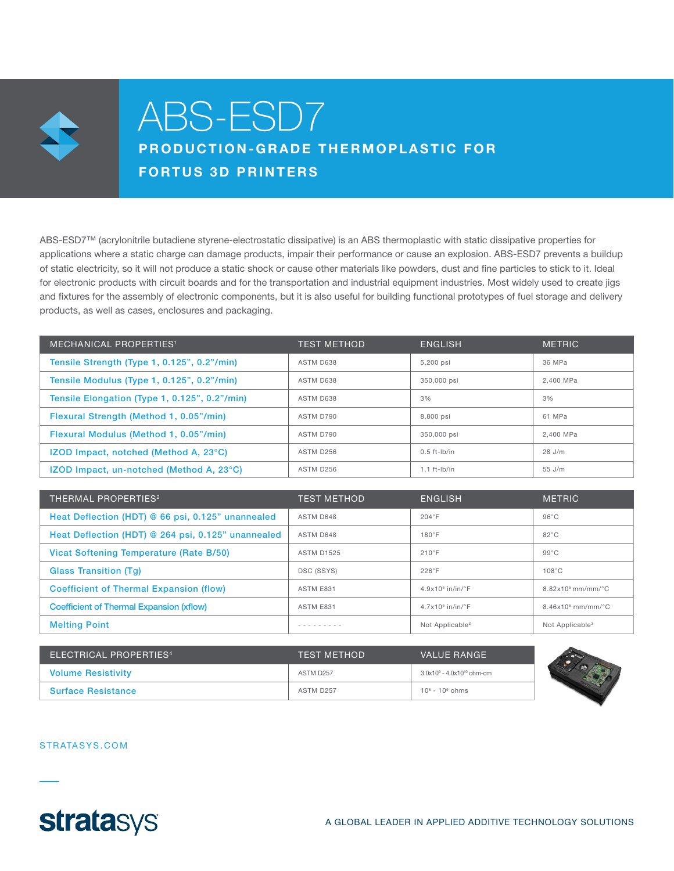

# ABS-ESD7

PRODUCTION-GRADE THERMOPLASTIC FOR FORTUS 3D PRINTERS

ABS-ESD7™ (acrylonitrile butadiene styrene-electrostatic dissipative) is an ABS thermoplastic with static dissipative properties for applications where a static charge can damage products, impair their performance or cause an explosion. ABS-ESD7 prevents a buildup of static electricity, so it will not produce a static shock or cause other materials like powders, dust and fine particles to stick to it. Ideal for electronic products with circuit boards and for the transportation and industrial equipment industries. Most widely used to create jigs and fixtures for the assembly of electronic components, but it is also useful for building functional prototypes of fuel storage and delivery products, as well as cases, enclosures and packaging.

| <b>MECHANICAL PROPERTIES<sup>1</sup></b>        | <b>TEST METHOD</b> | <b>ENGLISH</b>    | <b>METRIC</b> |
|-------------------------------------------------|--------------------|-------------------|---------------|
| Tensile Strength (Type 1, 0.125", 0.2"/min)     | ASTM D638          | 5.200 psi         | 36 MPa        |
| Tensile Modulus (Type 1, 0.125", 0.2"/min)      | ASTM D638          | 350,000 psi       | 2.400 MPa     |
| Tensile Elongation (Type 1, 0.125", 0.2"/min)   | ASTM D638          | 3%                | 3%            |
| Flexural Strength (Method 1, 0.05"/min)         | ASTM D790          | 8.800 psi         | 61 MPa        |
| Flexural Modulus (Method 1, 0.05"/min)          | ASTM D790          | 350,000 psi       | 2.400 MPa     |
| <b>IZOD Impact, notched (Method A, 23°C)</b>    | ASTM D256          | $0.5$ ft-lb/in    | 28 J/m        |
| <b>IZOD Impact, un-notched (Method A, 23°C)</b> | ASTM D256          | $1.1$ ft- $lb/in$ | $55$ J/m      |

| <b>THERMAL PROPERTIES<sup>2</sup></b>              | <b>TEST METHOD</b> | <b>ENGLISH</b>              | <b>METRIC</b>               |
|----------------------------------------------------|--------------------|-----------------------------|-----------------------------|
| Heat Deflection (HDT) @ 66 psi, 0.125" unannealed  | ASTM D648          | $204^{\circ}F$              | $96^{\circ}$ C              |
| Heat Deflection (HDT) @ 264 psi, 0.125" unannealed | ASTM D648          | $180^\circ F$               | 82°C                        |
| Vicat Softening Temperature (Rate B/50)            | <b>ASTM D1525</b>  | $210^{\circ}$ F             | $99^{\circ}$ C              |
| <b>Glass Transition (Tq)</b>                       | <b>DSC (SSYS)</b>  | $226^{\circ}$ F             | $108^{\circ}$ C             |
| <b>Coefficient of Thermal Expansion (flow)</b>     | ASTM E831          | $4.9x105$ in/in/°F          | $8.82 \times 10^5$ mm/mm/°C |
| <b>Coefficient of Thermal Expansion (xflow)</b>    | ASTM E831          | $4.7x105$ in/in/°F          | $8.46x105$ mm/mm/°C         |
| <b>Melting Point</b>                               |                    | Not Applicable <sup>3</sup> | Not Applicable <sup>3</sup> |

| ELECTRICAL PROPERTIES <sup>4</sup> | <b>TEST METHOD</b>    | VALUE RANGE                     |  |
|------------------------------------|-----------------------|---------------------------------|--|
| <b>Volume Resistivity</b>          | ASTM D <sub>257</sub> | $3.0x10^9 - 4.0x10^{10}$ ohm-cm |  |
| <b>Surface Resistance</b>          | ASTM D257             | $10^6 - 10^9$ ohms              |  |

#### STRATASYS.COM